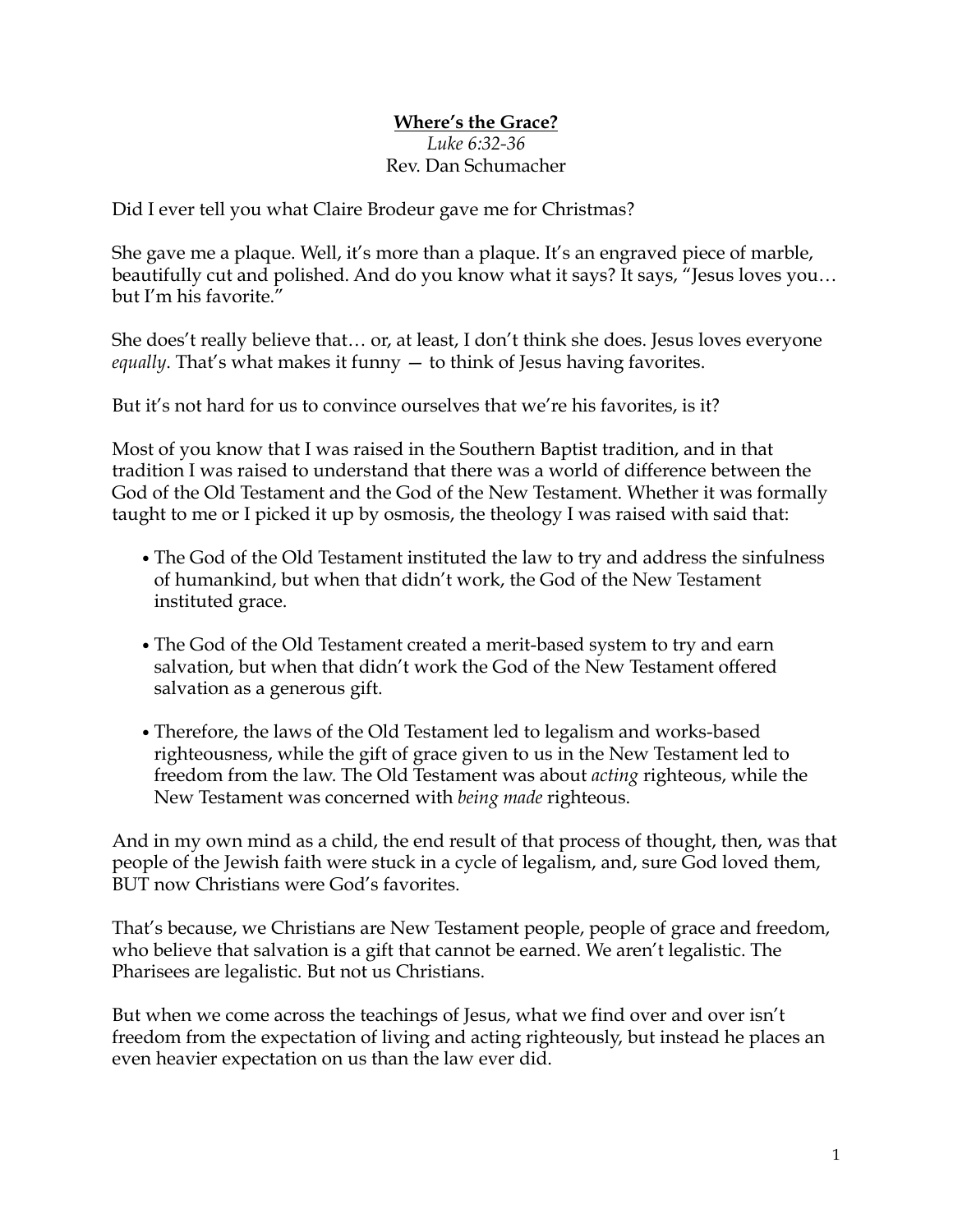## **Where's the Grace?** *Luke 6:32-36* Rev. Dan Schumacher

Did I ever tell you what Claire Brodeur gave me for Christmas?

She gave me a plaque. Well, it's more than a plaque. It's an engraved piece of marble, beautifully cut and polished. And do you know what it says? It says, "Jesus loves you… but I'm his favorite."

She does't really believe that… or, at least, I don't think she does. Jesus loves everyone *equally*. That's what makes it funny — to think of Jesus having favorites.

But it's not hard for us to convince ourselves that we're his favorites, is it?

Most of you know that I was raised in the Southern Baptist tradition, and in that tradition I was raised to understand that there was a world of difference between the God of the Old Testament and the God of the New Testament. Whether it was formally taught to me or I picked it up by osmosis, the theology I was raised with said that:

- *•*The God of the Old Testament instituted the law to try and address the sinfulness of humankind, but when that didn't work, the God of the New Testament instituted grace.
- *•*The God of the Old Testament created a merit-based system to try and earn salvation, but when that didn't work the God of the New Testament offered salvation as a generous gift.
- *•*Therefore, the laws of the Old Testament led to legalism and works-based righteousness, while the gift of grace given to us in the New Testament led to freedom from the law. The Old Testament was about *acting* righteous, while the New Testament was concerned with *being made* righteous.

And in my own mind as a child, the end result of that process of thought, then, was that people of the Jewish faith were stuck in a cycle of legalism, and, sure God loved them, BUT now Christians were God's favorites.

That's because, we Christians are New Testament people, people of grace and freedom, who believe that salvation is a gift that cannot be earned. We aren't legalistic. The Pharisees are legalistic. But not us Christians.

But when we come across the teachings of Jesus, what we find over and over isn't freedom from the expectation of living and acting righteously, but instead he places an even heavier expectation on us than the law ever did.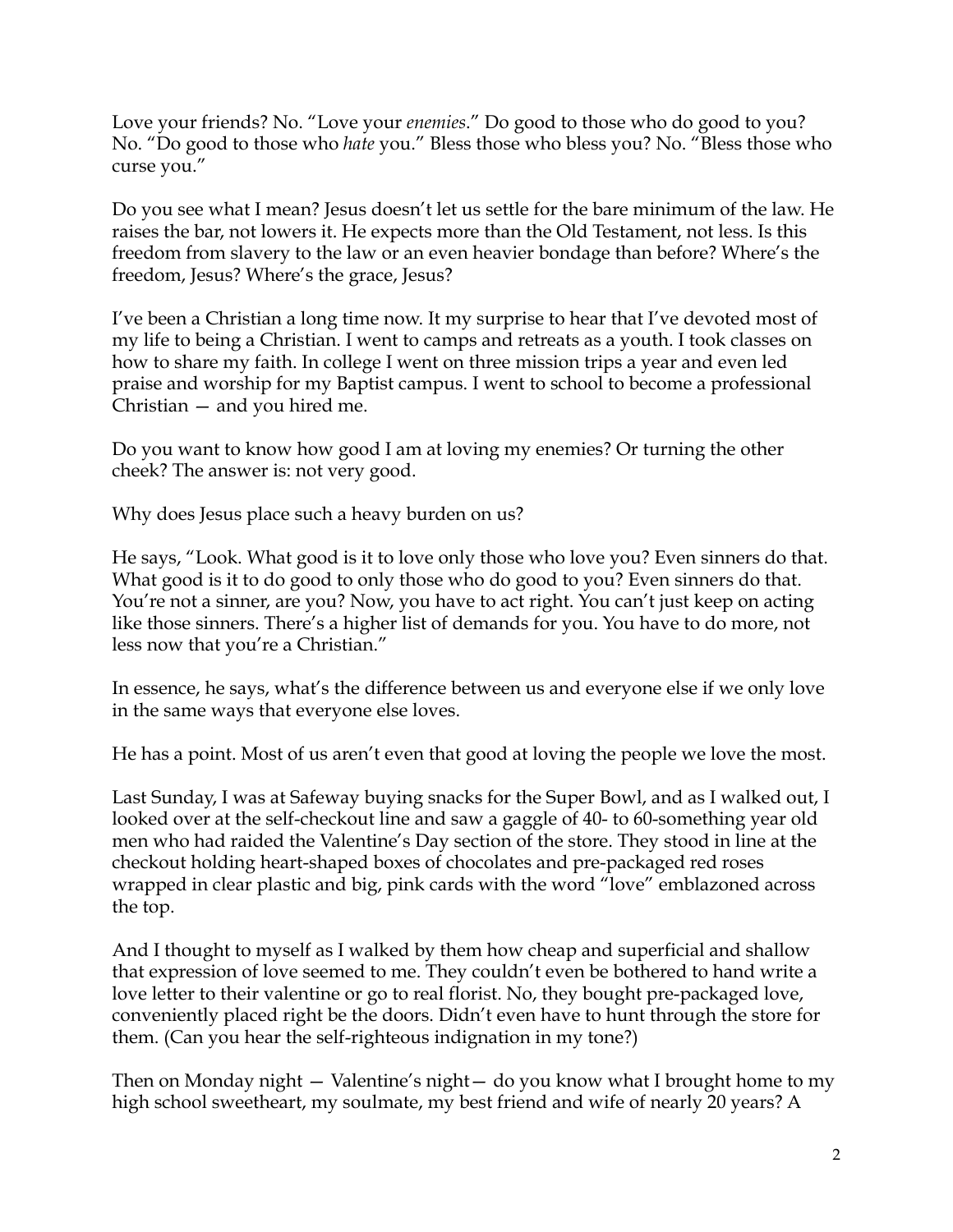Love your friends? No. "Love your *enemies*." Do good to those who do good to you? No. "Do good to those who *hate* you." Bless those who bless you? No. "Bless those who curse you."

Do you see what I mean? Jesus doesn't let us settle for the bare minimum of the law. He raises the bar, not lowers it. He expects more than the Old Testament, not less. Is this freedom from slavery to the law or an even heavier bondage than before? Where's the freedom, Jesus? Where's the grace, Jesus?

I've been a Christian a long time now. It my surprise to hear that I've devoted most of my life to being a Christian. I went to camps and retreats as a youth. I took classes on how to share my faith. In college I went on three mission trips a year and even led praise and worship for my Baptist campus. I went to school to become a professional Christian — and you hired me.

Do you want to know how good I am at loving my enemies? Or turning the other cheek? The answer is: not very good.

Why does Jesus place such a heavy burden on us?

He says, "Look. What good is it to love only those who love you? Even sinners do that. What good is it to do good to only those who do good to you? Even sinners do that. You're not a sinner, are you? Now, you have to act right. You can't just keep on acting like those sinners. There's a higher list of demands for you. You have to do more, not less now that you're a Christian."

In essence, he says, what's the difference between us and everyone else if we only love in the same ways that everyone else loves.

He has a point. Most of us aren't even that good at loving the people we love the most.

Last Sunday, I was at Safeway buying snacks for the Super Bowl, and as I walked out, I looked over at the self-checkout line and saw a gaggle of 40- to 60-something year old men who had raided the Valentine's Day section of the store. They stood in line at the checkout holding heart-shaped boxes of chocolates and pre-packaged red roses wrapped in clear plastic and big, pink cards with the word "love" emblazoned across the top.

And I thought to myself as I walked by them how cheap and superficial and shallow that expression of love seemed to me. They couldn't even be bothered to hand write a love letter to their valentine or go to real florist. No, they bought pre-packaged love, conveniently placed right be the doors. Didn't even have to hunt through the store for them. (Can you hear the self-righteous indignation in my tone?)

Then on Monday night — Valentine's night— do you know what I brought home to my high school sweetheart, my soulmate, my best friend and wife of nearly 20 years? A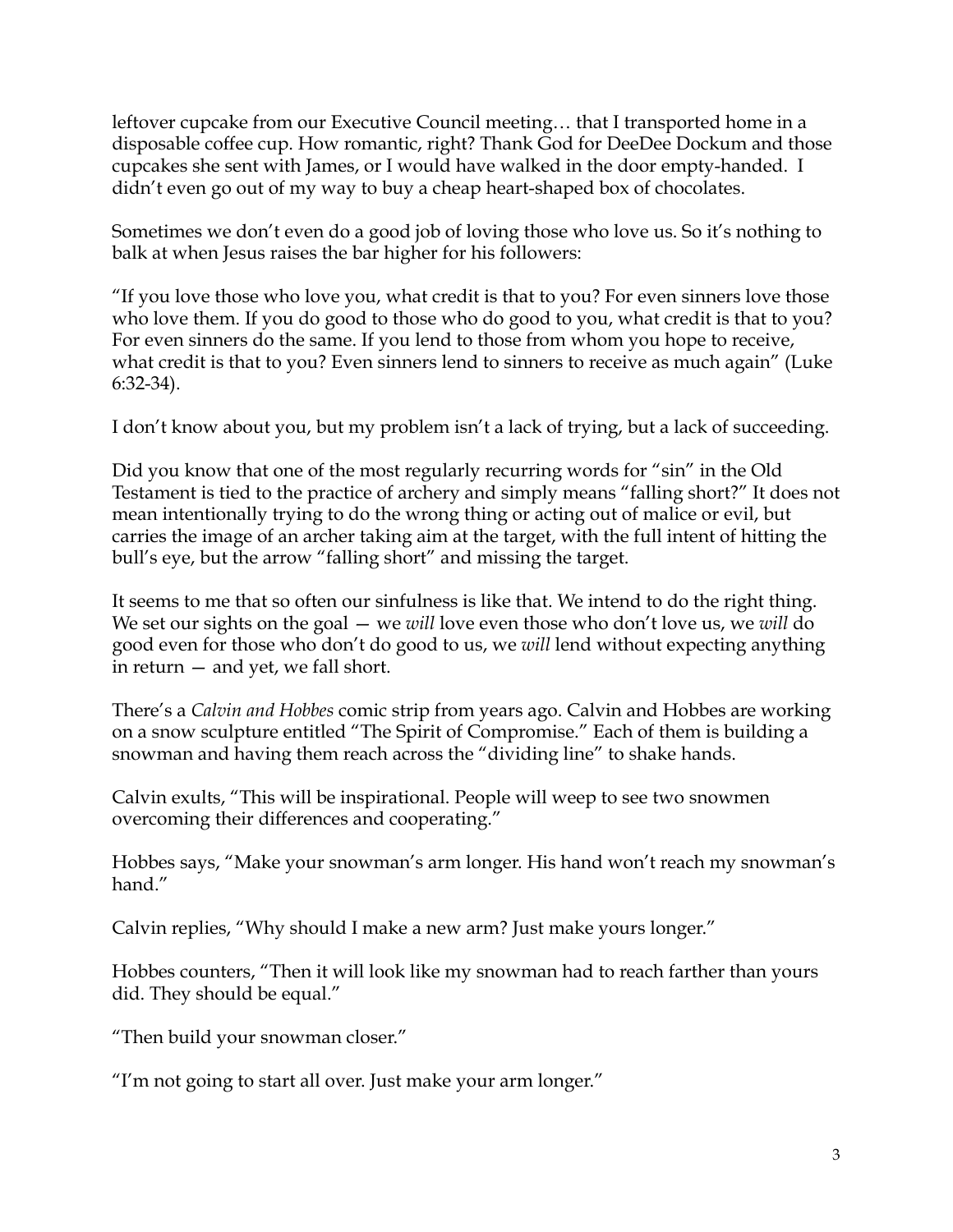leftover cupcake from our Executive Council meeting… that I transported home in a disposable coffee cup. How romantic, right? Thank God for DeeDee Dockum and those cupcakes she sent with James, or I would have walked in the door empty-handed. I didn't even go out of my way to buy a cheap heart-shaped box of chocolates.

Sometimes we don't even do a good job of loving those who love us. So it's nothing to balk at when Jesus raises the bar higher for his followers:

"If you love those who love you, what credit is that to you? For even sinners love those who love them. If you do good to those who do good to you, what credit is that to you? For even sinners do the same. If you lend to those from whom you hope to receive, what credit is that to you? Even sinners lend to sinners to receive as much again" (Luke 6:32-34).

I don't know about you, but my problem isn't a lack of trying, but a lack of succeeding.

Did you know that one of the most regularly recurring words for "sin" in the Old Testament is tied to the practice of archery and simply means "falling short?" It does not mean intentionally trying to do the wrong thing or acting out of malice or evil, but carries the image of an archer taking aim at the target, with the full intent of hitting the bull's eye, but the arrow "falling short" and missing the target.

It seems to me that so often our sinfulness is like that. We intend to do the right thing. We set our sights on the goal — we *will* love even those who don't love us, we *will* do good even for those who don't do good to us, we *will* lend without expecting anything in return — and yet, we fall short.

There's a *Calvin and Hobbes* comic strip from years ago. Calvin and Hobbes are working on a snow sculpture entitled "The Spirit of Compromise." Each of them is building a snowman and having them reach across the "dividing line" to shake hands.

Calvin exults, "This will be inspirational. People will weep to see two snowmen overcoming their differences and cooperating."

Hobbes says, "Make your snowman's arm longer. His hand won't reach my snowman's hand"

Calvin replies, "Why should I make a new arm? Just make yours longer."

Hobbes counters, "Then it will look like my snowman had to reach farther than yours did. They should be equal."

"Then build your snowman closer."

"I'm not going to start all over. Just make your arm longer."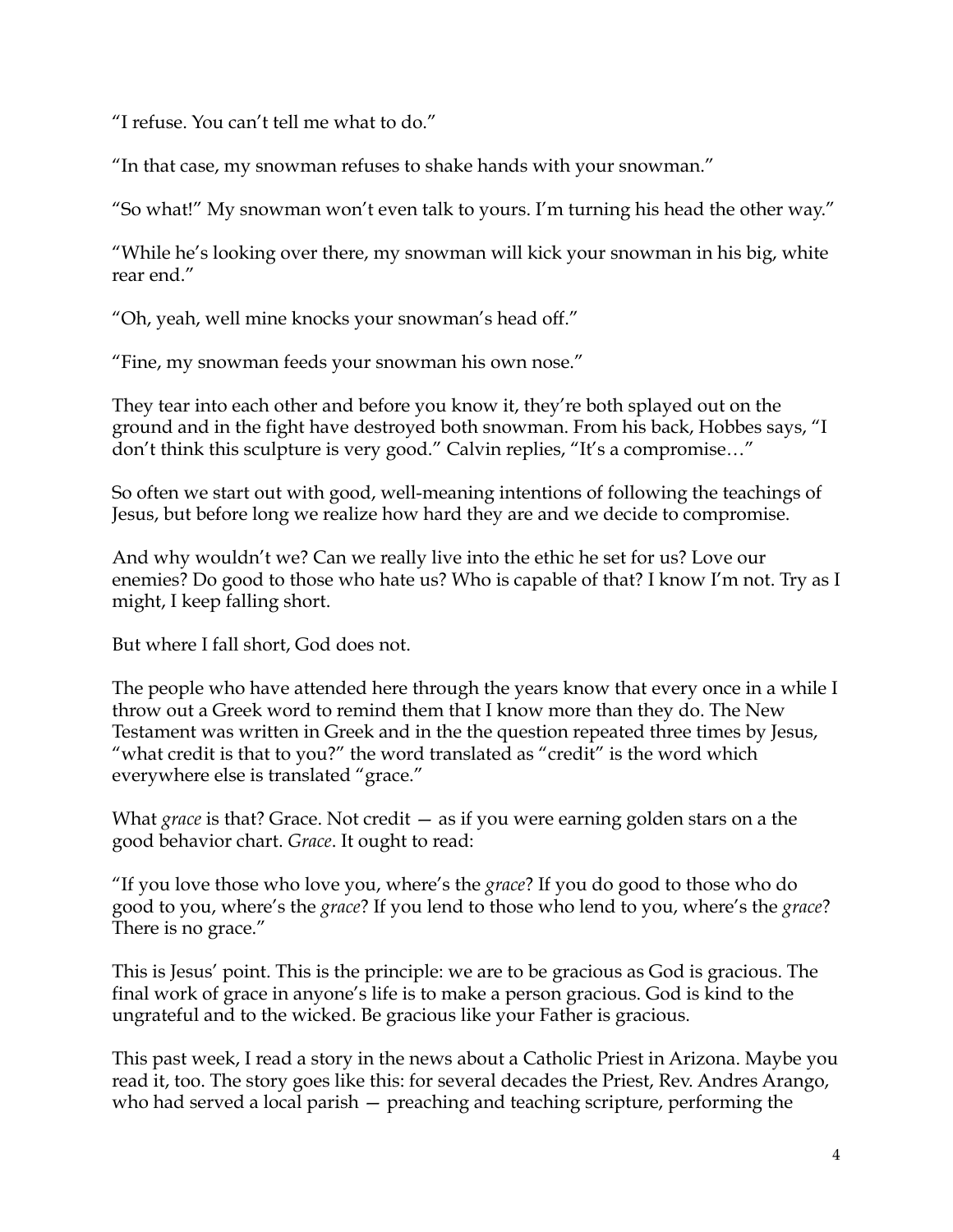"I refuse. You can't tell me what to do."

"In that case, my snowman refuses to shake hands with your snowman."

"So what!" My snowman won't even talk to yours. I'm turning his head the other way."

"While he's looking over there, my snowman will kick your snowman in his big, white rear end."

"Oh, yeah, well mine knocks your snowman's head off."

"Fine, my snowman feeds your snowman his own nose."

They tear into each other and before you know it, they're both splayed out on the ground and in the fight have destroyed both snowman. From his back, Hobbes says, "I don't think this sculpture is very good." Calvin replies, "It's a compromise…"

So often we start out with good, well-meaning intentions of following the teachings of Jesus, but before long we realize how hard they are and we decide to compromise.

And why wouldn't we? Can we really live into the ethic he set for us? Love our enemies? Do good to those who hate us? Who is capable of that? I know I'm not. Try as I might, I keep falling short.

But where I fall short, God does not.

The people who have attended here through the years know that every once in a while I throw out a Greek word to remind them that I know more than they do. The New Testament was written in Greek and in the the question repeated three times by Jesus, "what credit is that to you?" the word translated as "credit" is the word which everywhere else is translated "grace."

What *grace* is that? Grace. Not credit — as if you were earning golden stars on a the good behavior chart. *Grace*. It ought to read:

"If you love those who love you, where's the *grace*? If you do good to those who do good to you, where's the *grace*? If you lend to those who lend to you, where's the *grace*? There is no grace."

This is Jesus' point. This is the principle: we are to be gracious as God is gracious. The final work of grace in anyone's life is to make a person gracious. God is kind to the ungrateful and to the wicked. Be gracious like your Father is gracious.

This past week, I read a story in the news about a Catholic Priest in Arizona. Maybe you read it, too. The story goes like this: for several decades the Priest, Rev. Andres Arango, who had served a local parish – preaching and teaching scripture, performing the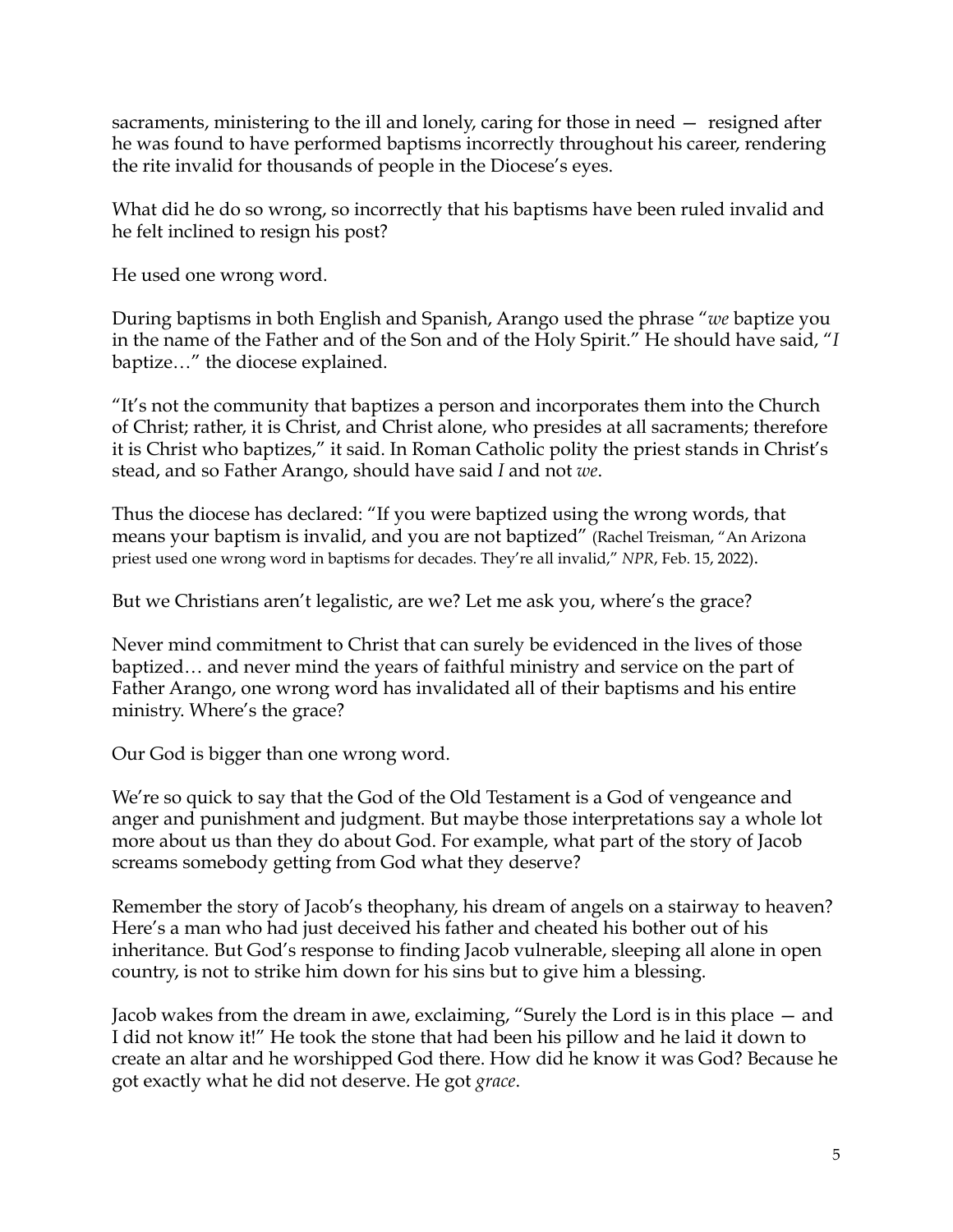sacraments, ministering to the ill and lonely, caring for those in need — resigned after he was found to have performed baptisms incorrectly throughout his career, rendering the rite invalid for thousands of people in the Diocese's eyes.

What did he do so wrong, so incorrectly that his baptisms have been ruled invalid and he felt inclined to resign his post?

He used one wrong word.

During baptisms in both English and Spanish, Arango used the phrase "*we* baptize you in the name of the Father and of the Son and of the Holy Spirit." He should have said, "*I* baptize…" the diocese explained.

"It's not the community that baptizes a person and incorporates them into the Church of Christ; rather, it is Christ, and Christ alone, who presides at all sacraments; therefore it is Christ who baptizes," it said. In Roman Catholic polity the priest stands in Christ's stead, and so Father Arango, should have said *I* and not *we*.

Thus the diocese has declared: "If you were baptized using the wrong words, that means your baptism is invalid, and you are not baptized" (Rachel Treisman, "An Arizona priest used one wrong word in baptisms for decades. They're all invalid," *NPR*, Feb. 15, 2022).

But we Christians aren't legalistic, are we? Let me ask you, where's the grace?

Never mind commitment to Christ that can surely be evidenced in the lives of those baptized… and never mind the years of faithful ministry and service on the part of Father Arango, one wrong word has invalidated all of their baptisms and his entire ministry. Where's the grace?

Our God is bigger than one wrong word.

We're so quick to say that the God of the Old Testament is a God of vengeance and anger and punishment and judgment. But maybe those interpretations say a whole lot more about us than they do about God. For example, what part of the story of Jacob screams somebody getting from God what they deserve?

Remember the story of Jacob's theophany, his dream of angels on a stairway to heaven? Here's a man who had just deceived his father and cheated his bother out of his inheritance. But God's response to finding Jacob vulnerable, sleeping all alone in open country, is not to strike him down for his sins but to give him a blessing.

Jacob wakes from the dream in awe, exclaiming, "Surely the Lord is in this place — and I did not know it!" He took the stone that had been his pillow and he laid it down to create an altar and he worshipped God there. How did he know it was God? Because he got exactly what he did not deserve. He got *grace*.